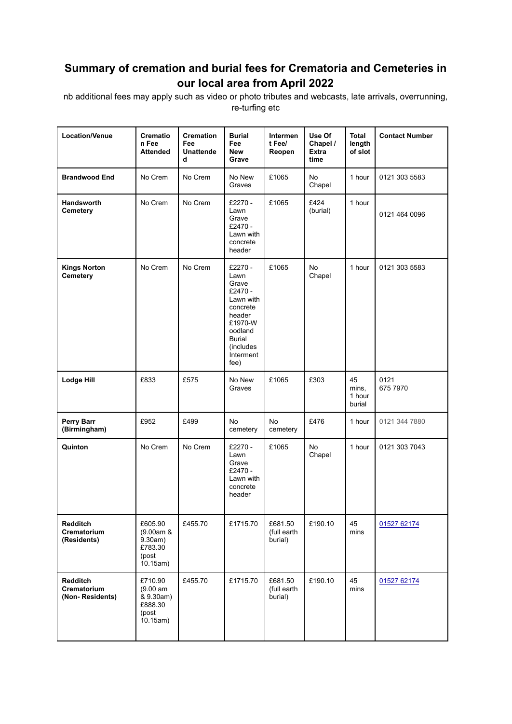## **Summary of cremation and burial fees for Crematoria and Cemeteries in our local area from April 2022**

nb additional fees may apply such as video or photo tributes and webcasts, late arrivals, overrunning, re-turfing etc

| <b>Location/Venue</b>                         | <b>Crematio</b><br>n Fee<br><b>Attended</b>                       | <b>Cremation</b><br>Fee<br><b>Unattende</b><br>d | <b>Burial</b><br>Fee<br><b>New</b><br>Grave                                                                                                     | <b>Intermen</b><br>t Fee/<br>Reopen | Use Of<br>Chapel /<br><b>Extra</b><br>time | <b>Total</b><br>length<br>of slot | <b>Contact Number</b> |
|-----------------------------------------------|-------------------------------------------------------------------|--------------------------------------------------|-------------------------------------------------------------------------------------------------------------------------------------------------|-------------------------------------|--------------------------------------------|-----------------------------------|-----------------------|
| <b>Brandwood End</b>                          | No Crem                                                           | No Crem                                          | No New<br>Graves                                                                                                                                | £1065                               | No.<br>Chapel                              | 1 hour                            | 0121 303 5583         |
| Handsworth<br>Cemetery                        | No Crem                                                           | No Crem                                          | £2270 -<br>Lawn<br>Grave<br>£2470 -<br>Lawn with<br>concrete<br>header                                                                          | £1065                               | £424<br>(burial)                           | 1 hour                            | 0121 464 0096         |
| <b>Kings Norton</b><br><b>Cemetery</b>        | No Crem                                                           | No Crem                                          | £2270 -<br>Lawn<br>Grave<br>£2470 -<br>Lawn with<br>concrete<br>header<br>£1970-W<br>oodland<br><b>Burial</b><br>(includes<br>Interment<br>fee) | £1065                               | No<br>Chapel                               | 1 hour                            | 0121 303 5583         |
| <b>Lodge Hill</b>                             | £833                                                              | £575                                             | No New<br>Graves                                                                                                                                | £1065                               | £303                                       | 45<br>mins,<br>1 hour<br>burial   | 0121<br>675 7970      |
| <b>Perry Barr</b><br>(Birmingham)             | £952                                                              | £499                                             | No.<br>cemetery                                                                                                                                 | No<br>cemetery                      | £476                                       | 1 hour                            | 0121 344 7880         |
| Quinton                                       | No Crem                                                           | No Crem                                          | £2270 -<br>Lawn<br>Grave<br>£2470 -<br>Lawn with<br>concrete<br>header                                                                          | £1065                               | No<br>Chapel                               | 1 hour                            | 0121 303 7043         |
| <b>Redditch</b><br>Crematorium<br>(Residents) | £605.90<br>(9.00am &<br>9.30am)<br>£783.30<br>(post<br>10.15am)   | £455.70                                          | £1715.70                                                                                                                                        | £681.50<br>(full earth<br>burial)   | £190.10                                    | 45<br>mins                        | 01527 62174           |
| Redditch<br>Crematorium<br>(Non-Residents)    | £710.90<br>(9.00 am)<br>& 9.30am)<br>£888.30<br>(post<br>10.15am) | £455.70                                          | £1715.70                                                                                                                                        | £681.50<br>(full earth<br>burial)   | £190.10                                    | 45<br>mins                        | 01527 62174           |